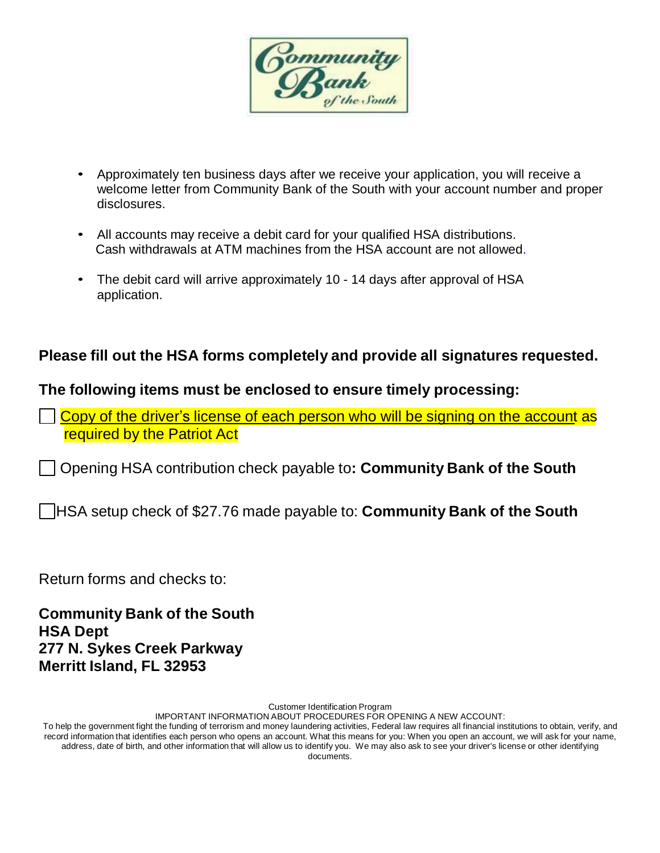

- Approximately ten business days after we receive your application, you will receive a welcome letter from Community Bank of the South with your account number and proper disclosures.
- All accounts may receive a debit card for your qualified HSA distributions. Cash withdrawals at ATM machines from the HSA account are not allowed.
- The debit card will arrive approximately 10 14 days after approval of HSA application.

## **Please fill out the HSA forms completely and provide all signatures requested.**

## **The following items must be enclosed to ensure timely processing:**

Copy of the driver's license of each person who will be signing on the account as required by the Patriot Act

Opening HSA contribution check payable to**: Community Bank of the South**

HSA setup check of \$27.76 made payable to: **Community Bank of the South**

Return forms and checks to:

**Community Bank of the South HSA Dept 277 N. Sykes Creek Parkway Merritt Island, FL 32953**

Customer Identification Program

IMPORTANT INFORMATION ABOUT PROCEDURES FOR OPENING A NEW ACCOUNT: To help the government fight the funding of terrorism and money laundering activities, Federal law requires all financial institutions to obtain, verify, and record information that identifies each person who opens an account. What this means for you: When you open an account, we will ask for your name, address, date of birth, and other information that will allow us to identify you. We may also ask to see your driver's license or other identifying documents.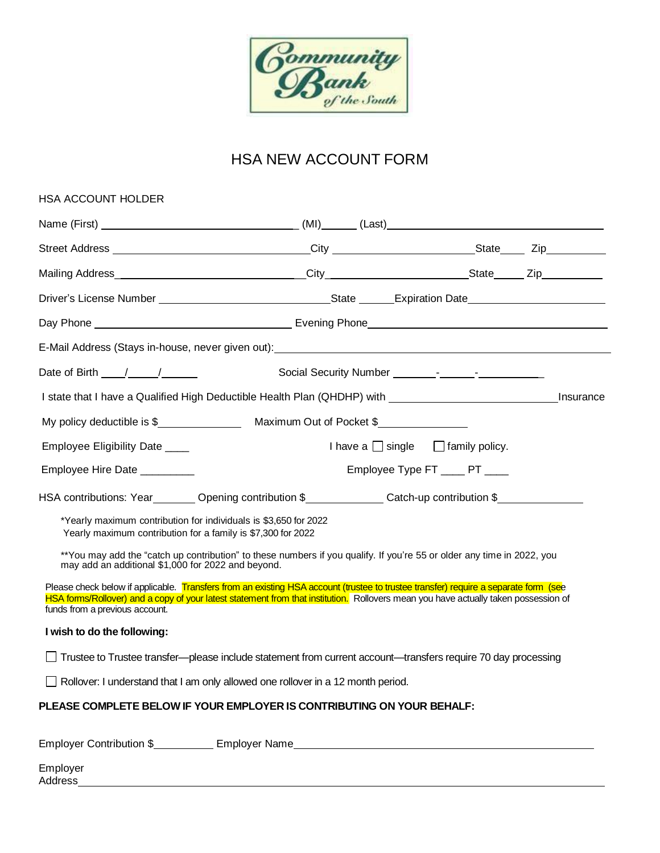

# HSA NEW ACCOUNT FORM

| HSA ACCOUNT HOLDER                                                                                                               |                                                                                                                                                                                                                                                                            |                                                                                                                |
|----------------------------------------------------------------------------------------------------------------------------------|----------------------------------------------------------------------------------------------------------------------------------------------------------------------------------------------------------------------------------------------------------------------------|----------------------------------------------------------------------------------------------------------------|
|                                                                                                                                  |                                                                                                                                                                                                                                                                            |                                                                                                                |
|                                                                                                                                  |                                                                                                                                                                                                                                                                            | Street Address _________________________________City _________________________State ______Zip_________________ |
|                                                                                                                                  |                                                                                                                                                                                                                                                                            |                                                                                                                |
|                                                                                                                                  |                                                                                                                                                                                                                                                                            |                                                                                                                |
|                                                                                                                                  |                                                                                                                                                                                                                                                                            |                                                                                                                |
|                                                                                                                                  | E-Mail Address (Stays in-house, never given out): Next and the state of the state of the state of the state of                                                                                                                                                             |                                                                                                                |
| Date of Birth $\frac{1}{\sqrt{1-\frac{1}{2}}}$                                                                                   |                                                                                                                                                                                                                                                                            |                                                                                                                |
|                                                                                                                                  |                                                                                                                                                                                                                                                                            | Insurance                                                                                                      |
|                                                                                                                                  |                                                                                                                                                                                                                                                                            |                                                                                                                |
| Employee Eligibility Date ____                                                                                                   |                                                                                                                                                                                                                                                                            | I have a $\Box$ single $\Box$ family policy.                                                                   |
| Employee Hire Date __________                                                                                                    |                                                                                                                                                                                                                                                                            | Employee Type FT _____ PT ____                                                                                 |
|                                                                                                                                  | HSA contributions: Year_________Opening contribution \$_____________Catch-up contribution \$__________                                                                                                                                                                     |                                                                                                                |
| *Yearly maximum contribution for individuals is \$3,650 for 2022<br>Yearly maximum contribution for a family is \$7,300 for 2022 |                                                                                                                                                                                                                                                                            |                                                                                                                |
| may add an additional \$1,000 for 2022 and beyond.                                                                               | **You may add the "catch up contribution" to these numbers if you qualify. If you're 55 or older any time in 2022, you                                                                                                                                                     |                                                                                                                |
| funds from a previous account.                                                                                                   | Please check below if applicable. Transfers from an existing HSA account (trustee to trustee transfer) require a separate form (see<br>HSA forms/Rollover) and a copy of your latest statement from that institution. Rollovers mean you have actually taken possession of |                                                                                                                |
| I wish to do the following:                                                                                                      |                                                                                                                                                                                                                                                                            |                                                                                                                |
|                                                                                                                                  | Trustee to Trustee transfer---please include statement from current account---transfers require 70 day processing                                                                                                                                                          |                                                                                                                |
|                                                                                                                                  | Rollover: I understand that I am only allowed one rollover in a 12 month period.                                                                                                                                                                                           |                                                                                                                |
|                                                                                                                                  | PLEASE COMPLETE BELOW IF YOUR EMPLOYER IS CONTRIBUTING ON YOUR BEHALF:                                                                                                                                                                                                     |                                                                                                                |
|                                                                                                                                  | Employer Contribution \$_____________ Employer Name______________________________                                                                                                                                                                                          |                                                                                                                |

Employer Address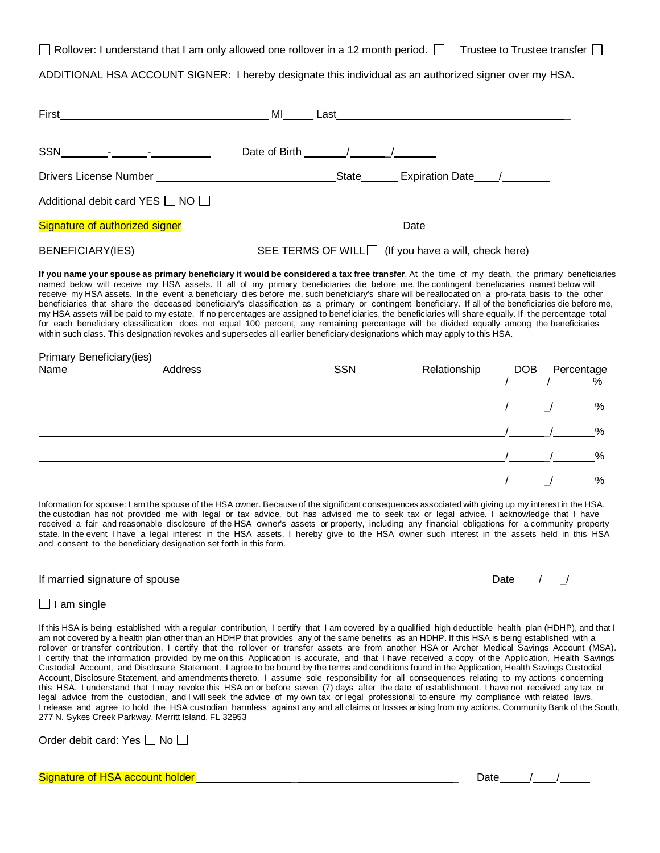Rollover: I understand that I am only allowed one rollover in a 12 month period.  $\Box$  Trustee to Trustee transfer  $\Box$ 

ADDITIONAL HSA ACCOUNT SIGNER: I hereby designate this individual as an authorized signer over my HSA.

| First <u>_______________________</u>                                                                                                                                                                                                                                                                                                                                                                                                                                                                                        | MI                                                                                                                                                                                                                                                                                     |
|-----------------------------------------------------------------------------------------------------------------------------------------------------------------------------------------------------------------------------------------------------------------------------------------------------------------------------------------------------------------------------------------------------------------------------------------------------------------------------------------------------------------------------|----------------------------------------------------------------------------------------------------------------------------------------------------------------------------------------------------------------------------------------------------------------------------------------|
| $SSN \qquad \qquad \underbrace{\qquad \qquad}_{\qquad \qquad \qquad}-\qquad \qquad}_{\qquad \qquad -\qquad \qquad -\qquad \qquad}_{\qquad \qquad -\qquad \qquad -\qquad \qquad -\quad \qquad}_{\qquad \qquad -\quad \qquad -\quad \qquad}_{\qquad \qquad -\quad \qquad}_{\qquad \qquad -\quad \qquad}_{\qquad \qquad -\quad \qquad}_{\qquad \qquad -\quad \qquad}_{\qquad \qquad -\quad \qquad}_{\qquad \qquad -\quad \qquad}_{\qquad \qquad -\quad \qquad}_{\qquad \qquad -\quad \qquad}_{\qquad \qquad -\quad \qquad}_{\$ | Date of Birth $\frac{1}{\sqrt{1-\frac{1}{2}}}\left\lfloor \frac{1}{\sqrt{1-\frac{1}{2}}}\right\rfloor$                                                                                                                                                                                 |
|                                                                                                                                                                                                                                                                                                                                                                                                                                                                                                                             | State Expiration Date /                                                                                                                                                                                                                                                                |
| Additional debit card YES $\Box$ NO $\Box$                                                                                                                                                                                                                                                                                                                                                                                                                                                                                  |                                                                                                                                                                                                                                                                                        |
| Signature of authorized signer and all and all and all and all and all and all and all and all and all and all                                                                                                                                                                                                                                                                                                                                                                                                              | Date $\frac{1}{\sqrt{1-\frac{1}{2}}\cdot\frac{1}{2}}$                                                                                                                                                                                                                                  |
| BENEFICIARY(IES)                                                                                                                                                                                                                                                                                                                                                                                                                                                                                                            | SEE TERMS OF WILL $\Box$ (If you have a will, check here)                                                                                                                                                                                                                              |
|                                                                                                                                                                                                                                                                                                                                                                                                                                                                                                                             | If you name your spouse as primary beneficiary it would be considered a tax free transfer. At the time of my death, the primary beneficiaries<br>hamed below will receive my HSA assets If all of my primary beneficiaries die before me the contingent beneficiaries named below will |

named below will receive my HSA assets. If all of my primary beneficiaries die before me, the contingent beneficiaries named below will receive my HSA assets. In the event a beneficiary dies before me, such beneficiary's share will be reallocated on a pro-rata basis to the other beneficiaries that share the deceased beneficiary's classification as a primary or contingent beneficiary. If all of the beneficiaries die before me, my HSA assets will be paid to my estate. If no percentages are assigned to beneficiaries, the beneficiaries will share equally. If the percentage total for each beneficiary classification does not equal 100 percent, any remaining percentage will be divided equally among the beneficiaries within such class. This designation revokes and supersedes all earlier beneficiary designations which may apply to this HSA.

| <b>Primary Beneficiary(ies)</b><br>Name | Address | <b>SSN</b> | Relationship | <b>DOB</b> | Percentage<br>$\overline{\%}$ |
|-----------------------------------------|---------|------------|--------------|------------|-------------------------------|
|                                         |         |            |              |            | %                             |
|                                         |         |            |              |            | %                             |
|                                         |         |            |              |            | %                             |
|                                         |         |            |              |            | %                             |

Information for spouse: I am the spouse of the HSA owner. Because of the significant consequences associated with giving up my interest in the HSA, the custodian has not provided me with legal or tax advice, but has advised me to seek tax or legal advice. I acknowledge that I have received a fair and reasonable disclosure of the HSA owner's assets or property, including any financial obligations for a community property state. In the event I have a legal interest in the HSA assets, I hereby give to the HSA owner such interest in the assets held in this HSA and consent to the beneficiary designation set forth in this form.

| If married<br>signature<br>spouse<br>ot. | Jate |  |  |
|------------------------------------------|------|--|--|
|                                          |      |  |  |

### $\Box$  I am single

If this HSA is being established with a regular contribution, I certify that I am covered by a qualified high deductible health plan (HDHP), and that I am not covered by a health plan other than an HDHP that provides any of the same benefits as an HDHP. If this HSA is being established with a rollover or transfer contribution, I certify that the rollover or transfer assets are from another HSA or Archer Medical Savings Account (MSA). I certify that the information provided by me on this Application is accurate, and that I have received a copy of the Application, Health Savings Custodial Account, and Disclosure Statement. I agree to be bound by the terms and conditions found in the Application, Health Savings Custodial Account, Disclosure Statement, and amendments thereto. I assume sole responsibility for all consequences relating to my actions concerning this HSA. I understand that I may revoke this HSA on or before seven (7) days after the date of establishment. I have not received any tax or legal advice from the custodian, and I will seek the advice of my own tax or legal professional to ensure my compliance with related laws. I release and agree to hold the HSA custodian harmless against any and all claims or losses arising from my actions. Community Bank of the South, 277 N. Sykes Creek Parkway, Merritt Island, FL 32953

| Order debit card: Yes □ No □ |  |  |  |  |
|------------------------------|--|--|--|--|
|------------------------------|--|--|--|--|

### Signature of HSA account holder  $\qquad \qquad -$  Date  $\qquad \qquad /$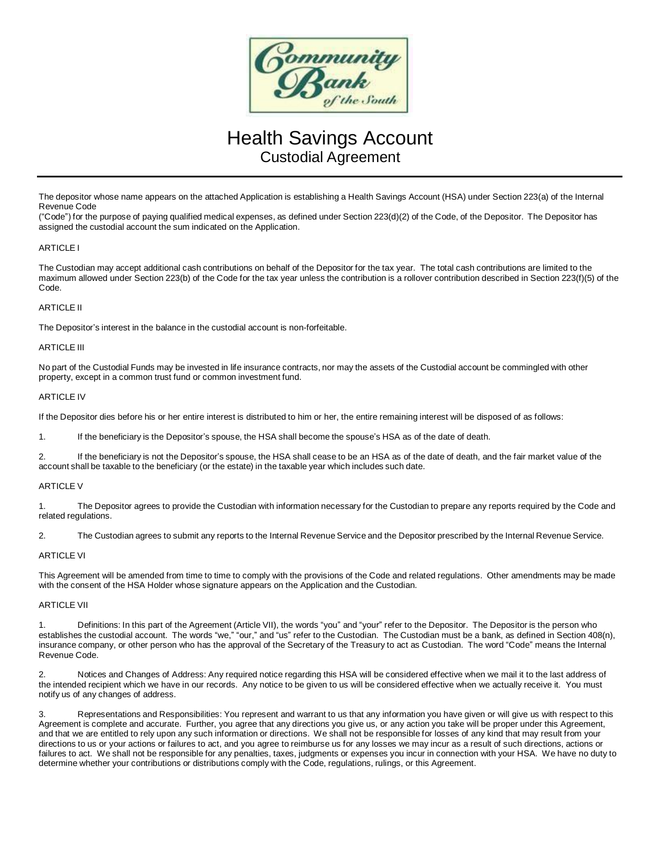

# Health Savings Account Custodial Agreement

The depositor whose name appears on the attached Application is establishing a Health Savings Account (HSA) under Section 223(a) of the Internal Revenue Code

("Code") for the purpose of paying qualified medical expenses, as defined under Section 223(d)(2) of the Code, of the Depositor. The Depositor has assigned the custodial account the sum indicated on the Application.

#### ARTICLE I

The Custodian may accept additional cash contributions on behalf of the Depositor for the tax year. The total cash contributions are limited to the maximum allowed under Section 223(b) of the Code for the tax year unless the contribution is a rollover contribution described in Section 223(f)(5) of the Code.

#### ARTICLE II

The Depositor's interest in the balance in the custodial account is non-forfeitable.

#### ARTICLE III

No part of the Custodial Funds may be invested in life insurance contracts, nor may the assets of the Custodial account be commingled with other property, except in a common trust fund or common investment fund.

#### **ARTICLE IV**

If the Depositor dies before his or her entire interest is distributed to him or her, the entire remaining interest will be disposed of as follows:

1. If the beneficiary is the Depositor's spouse, the HSA shall become the spouse's HSA as of the date of death.

2. If the beneficiary is not the Depositor's spouse, the HSA shall cease to be an HSA as of the date of death, and the fair market value of the account shall be taxable to the beneficiary (or the estate) in the taxable year which includes such date.

#### ARTICLE V

1. The Depositor agrees to provide the Custodian with information necessary for the Custodian to prepare any reports required by the Code and related regulations.

2. The Custodian agrees to submit any reports to the Internal Revenue Service and the Depositor prescribed by the Internal Revenue Service.

#### ARTICLE VI

This Agreement will be amended from time to time to comply with the provisions of the Code and related regulations. Other amendments may be made with the consent of the HSA Holder whose signature appears on the Application and the Custodian.

#### ARTICLE VII

1. Definitions: In this part of the Agreement (Article VII), the words "you" and "your" refer to the Depositor. The Depositor is the person who establishes the custodial account. The words "we," "our," and "us" refer to the Custodian. The Custodian must be a bank, as defined in Section 408(n), insurance company, or other person who has the approval of the Secretary of the Treasury to act as Custodian. The word "Code" means the Internal Revenue Code.

2. Notices and Changes of Address: Any required notice regarding this HSA will be considered effective when we mail it to the last address of the intended recipient which we have in our records. Any notice to be given to us will be considered effective when we actually receive it. You must notify us of any changes of address.

3. Representations and Responsibilities: You represent and warrant to us that any information you have given or will give us with respect to this Agreement is complete and accurate. Further, you agree that any directions you give us, or any action you take will be proper under this Agreement, and that we are entitled to rely upon any such information or directions. We shall not be responsible for losses of any kind that may result from your directions to us or your actions or failures to act, and you agree to reimburse us for any losses we may incur as a result of such directions, actions or failures to act. We shall not be responsible for any penalties, taxes, judgments or expenses you incur in connection with your HSA. We have no duty to determine whether your contributions or distributions comply with the Code, regulations, rulings, or this Agreement.